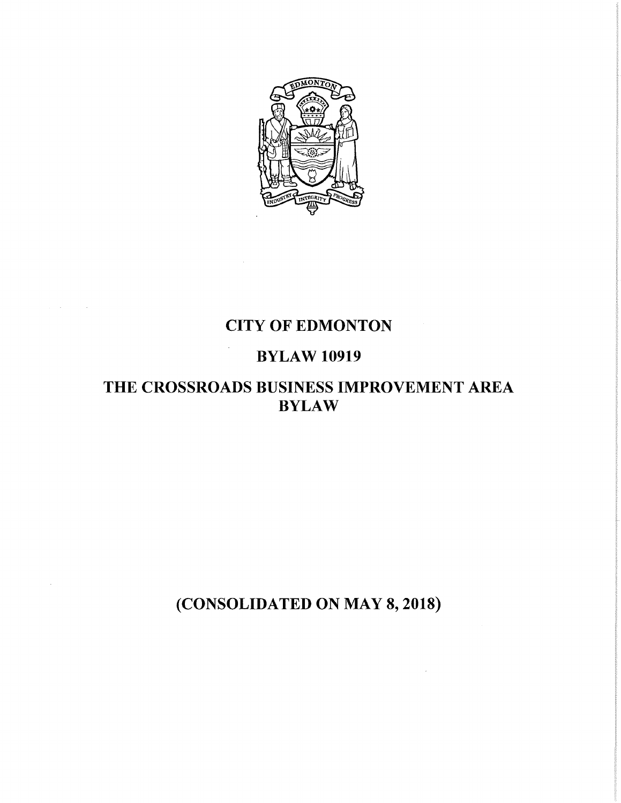

# CITY OF EDMONTON

# BYLAW 10919

 $\bar{\phantom{a}}$ 

# THE CROSSROADS BUSINESS IMPROVEMENT AREA BYLAW

(CONSOLIDATED ON MAY 8, 2018)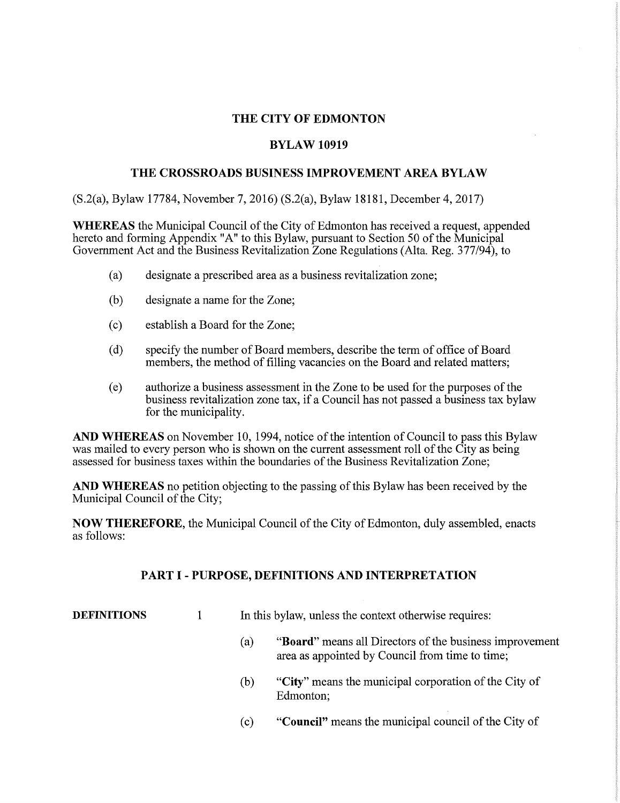# **THE CITY OF EDMONTON**

## **BYLAW 10919**

# **THE CROSSROADS BUSINESS IMPROVEMENT AREA BYLAW**

(S.2(a), Bylaw 17784, November 7, 2016) (S.2(a), Bylaw 18181, December 4, 2017)

**WHEREAS** the Municipal Council of the City of Edmonton has received a request, appended hereto and forming Appendix "A" to this Bylaw, pursuant to Section 50 of the Municipal Government Act and the Business Revitalization Zone Regulations (Alta. Reg. 377/94), to

- (a) designate a prescribed area as a business revitalization zone;
- (b) designate a name for the Zone;
- ( c) establish a Board for the Zone;
- ( d) specify the number of Board members, describe the term of office of Board members, the method of filling vacancies on the Board and related matters;
- ( e) authorize a business assessment in the Zone to be used for the purposes of the business revitalization zone tax, if a Council has not passed a business tax bylaw for the municipality.

**AND WHEREAS** on November 10, 1994, notice of the intention of Council to pass this Bylaw was mailed to every person who is shown on the current assessment roll of the City as being assessed for business taxes within the boundaries of the Business Revitalization Zone;

**AND WHEREAS** no petition objecting to the passing of this Bylaw has been received by the Municipal Council of the City;

**NOW THEREFORE,** the Municipal Council of the City of Edmonton, duly assembled, enacts as follows:

## **PART I- PURPOSE, DEFINITIONS AND INTERPRETATION**

**DEFINITIONS** 1 In this bylaw, unless the context otherwise requires:

- (a) **"Board"** means all Directors of the business improvement area as appointed by Council from time to time;
- (b) **"City"** means the municipal corporation of the City of Edmonton;
- ( c) **"Council"** means the municipal council of the City of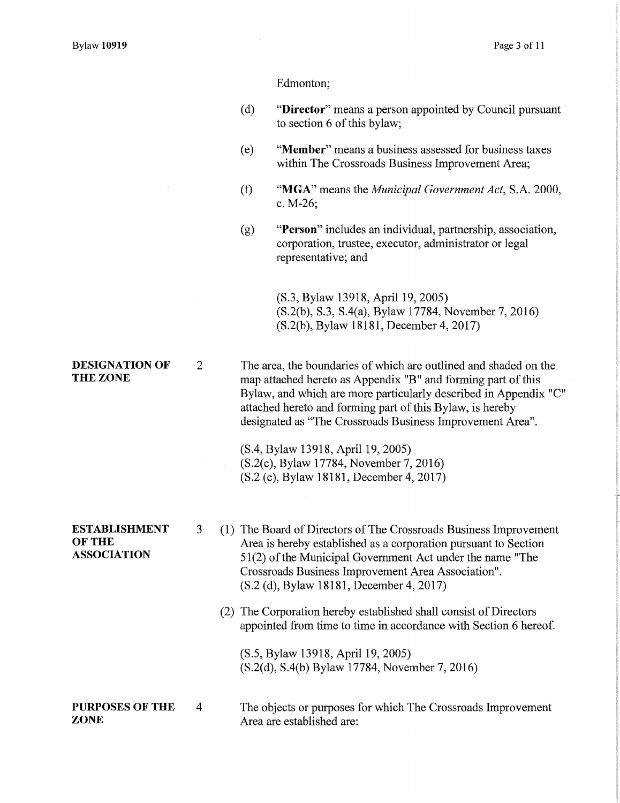Edmonton;

- ( d) **"Director"** means a person appointed by Council pursuant to section 6 of this bylaw;
- ( e) **"Member"** means a business assessed for business taxes within The Crossroads Business Improvement Area;
- *(f)* **"MGA"** means the *Municipal Government Act,* S.A. 2000, c. M-26;
- (g) **"Person"** includes an individual, partnership, association, corporation, trustee, executor, administrator or legal representative; and

(S.3, Bylaw 13918, April 19, 2005) (S.2(b), S.3, S.4(a), Bylaw 17784, November 7, 2016) (S.2(b ), Bylaw 18181, December 4, 2017)

**THE ZONE**  2 The area, the boundaries of which are outlined and shaded on the map attached hereto as Appendix "B" and forming part of this Bylaw, and which are more particularly described in Appendix "C" attached hereto and forming part of this Bylaw, is hereby designated as "The Crossroads Business Improvement Area".

> (S.4, Bylaw 13918, April 19, 2005) (S.2(c), Bylaw 17784, November 7, 2016) (S.2 (c), Bylaw 18181, December 4, 2017)

- **ESTABLISHMENT OFTHE ASSOCIATION**
- 3 (1) The Board of Directors of The Crossroads Business Improvement Area is hereby established as a corporation pursuant to Section 51(2) of the Municipal Government Act under the name "The Crossroads Business Improvement Area Association". (S.2 (d), Bylaw 18181, December 4, 2017)
	- (2) The Corporation hereby established shall consist of Directors appointed from time to time in accordance with Section 6 hereof.

(S.5, Bylaw 13918, April 19, 2005) (S.2(d), S.4(b) Bylaw 17784, November 7, 2016)

**PURPOSES OF THE ZONE**  4 The objects or purposes for which The Crossroads Improvement Area are established are:

# **DESIGNATION OF**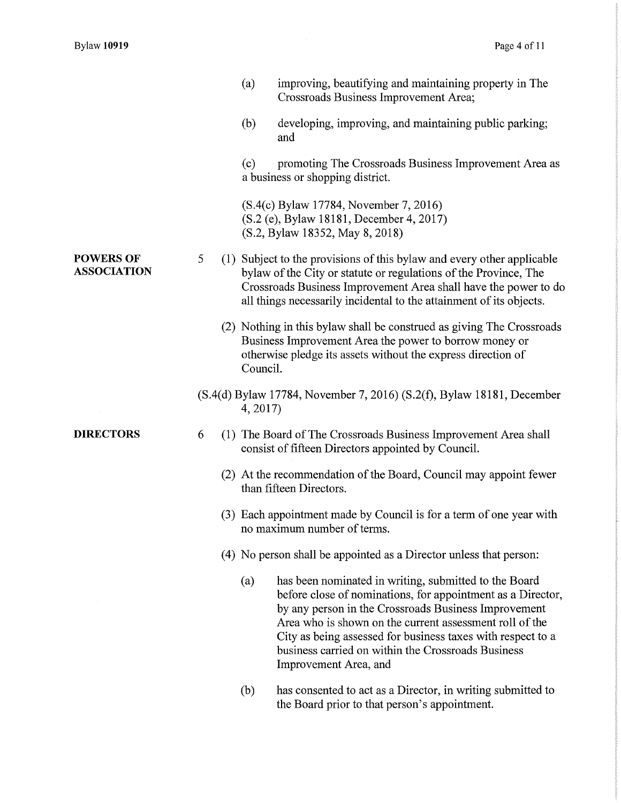|                                        |   | (a)<br>improving, beautifying and maintaining property in The<br>Crossroads Business Improvement Area;                                                                                                                                                                                                                                                                                       |
|----------------------------------------|---|----------------------------------------------------------------------------------------------------------------------------------------------------------------------------------------------------------------------------------------------------------------------------------------------------------------------------------------------------------------------------------------------|
|                                        |   | (b)<br>developing, improving, and maintaining public parking;<br>and                                                                                                                                                                                                                                                                                                                         |
|                                        |   | (c)<br>promoting The Crossroads Business Improvement Area as<br>a business or shopping district.                                                                                                                                                                                                                                                                                             |
|                                        |   | (S.4(c) Bylaw 17784, November 7, 2016)<br>(S.2 (e), Bylaw 18181, December 4, 2017)<br>(S.2, Bylaw 18352, May 8, 2018)                                                                                                                                                                                                                                                                        |
| <b>POWERS OF</b><br><b>ASSOCIATION</b> | 5 | (1) Subject to the provisions of this bylaw and every other applicable<br>bylaw of the City or statute or regulations of the Province, The<br>Crossroads Business Improvement Area shall have the power to do<br>all things necessarily incidental to the attainment of its objects.                                                                                                         |
|                                        |   | (2) Nothing in this bylaw shall be construed as giving The Crossroads<br>Business Improvement Area the power to borrow money or<br>otherwise pledge its assets without the express direction of<br>Council.                                                                                                                                                                                  |
|                                        |   | (S.4(d) Bylaw 17784, November 7, 2016) (S.2(f), Bylaw 18181, December<br>4, 2017                                                                                                                                                                                                                                                                                                             |
| <b>DIRECTORS</b>                       | 6 | (1) The Board of The Crossroads Business Improvement Area shall<br>consist of fifteen Directors appointed by Council.                                                                                                                                                                                                                                                                        |
|                                        |   | (2) At the recommendation of the Board, Council may appoint fewer<br>than fifteen Directors.                                                                                                                                                                                                                                                                                                 |
|                                        |   | (3) Each appointment made by Council is for a term of one year with<br>no maximum number of terms.                                                                                                                                                                                                                                                                                           |
|                                        |   | (4) No person shall be appointed as a Director unless that person:                                                                                                                                                                                                                                                                                                                           |
|                                        |   | has been nominated in writing, submitted to the Board<br>(a)<br>before close of nominations, for appointment as a Director,<br>by any person in the Crossroads Business Improvement<br>Area who is shown on the current assessment roll of the<br>City as being assessed for business taxes with respect to a<br>business carried on within the Crossroads Business<br>Improvement Area, and |
|                                        |   | (b)<br>has consented to act as a Director, in writing submitted to<br>the Board prior to that person's appointment.                                                                                                                                                                                                                                                                          |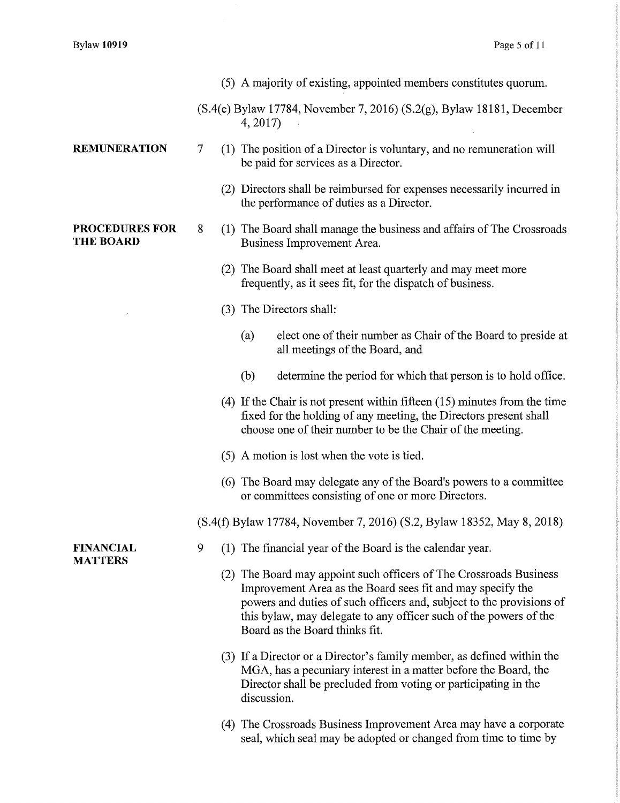**REMUNERATION** 

**PROCEDURES FOR** 

**THE BOARD** 

- (5) A majority of existing, appointed members constitutes quorum.
- (S.4(e) Bylaw 17784, November 7, 2016) (S.2(g), Bylaw 18181, December 4, 2017)
- 7 (1) The position of a Director is voluntary, and no remuneration will be paid for services as a Director.
	- (2) Directors shall be reimbursed for expenses necessarily incurred in the performance of duties as a Director.
- 8 (1) The Board shall manage the business and affairs of The Crossroads Business Improvement Area.
	- (2) The Board shall meet at least quarterly and may meet more frequently, as it sees fit, for the dispatch of business.
	- (3) The Directors shall:
		- (a) elect one of their number as Chair of the Board to preside at all meetings of the Board, and
		- (b) determine the period for which that person is to hold office.
	- (4) If the Chair is not present within fifteen (15) minutes from the time fixed for the holding of any meeting, the Directors present shall choose one of their number to be the Chair of the meeting.
	- (5) A motion is lost when the vote is tied.
	- (6) The Board may delegate any of the Board's powers to a committee or committees consisting of one or more Directors.
- (S.4(f) Bylaw 17784, November 7, 2016) (S.2, Bylaw 18352, May 8, 2018)

#### **FINANCIAL MATTERS**

- 9 (1) The financial year of the Board is the calendar year.
	- (2) The Board may appoint such officers of The Crossroads Business Improvement Area as the Board sees fit and may specify the powers and duties of such officers and, subject to the provisions of this bylaw, may delegate to any officer such of the powers of the Board as the Board thinks fit.
	- (3) If a Director or a Director's family member, as defined within the MGA, has a pecuniary interest in a matter before the Board, the Director shall be precluded from voting or participating in the discussion.
	- ( 4) The Crossroads Business Improvement Area may have a corporate seal, which seal may be adopted or changed from time to time by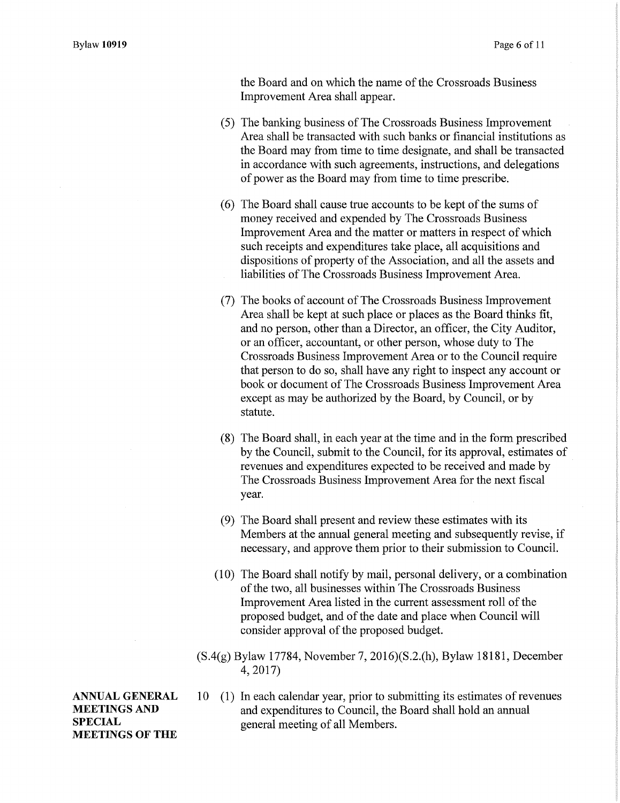the Board and on which the name of the Crossroads Business Improvement Area shall appear.

- (5) The banking business of The Crossroads Business Improvement Area shall be transacted with such banks or financial institutions as the Board may from time to time designate, and shall be transacted in accordance with such agreements, instructions, and delegations of power as the Board may from time to time prescribe.
- ( 6) The Board shall cause true accounts to be kept of the sums of money received and expended by The Crossroads Business Improvement Area and the matter or matters in respect of which such receipts and expenditures take place, all acquisitions and dispositions of property of the Association, and all the assets and liabilities of The Crossroads Business Improvement Area.
- (7) The books of account of The Crossroads Business Improvement Area shall be kept at such place or places as the Board thinks fit, and no person, other than a Director, an officer, the City Auditor, or an officer, accountant, or other person, whose duty to The Crossroads Business Improvement Area or to the Council require that person to do so, shall have any right to inspect any account or book or document of The Crossroads Business Improvement Area except as may be authorized by the Board, by Council, or by statute.
- (8) The Board shall, in each year at the time and in the form prescribed by the Council, submit to the Council, for its approval, estimates of revenues and expenditures expected to be received and made by The Crossroads Business Improvement Area for the next fiscal year.
- (9) The Board shall present and review these estimates with its Members at the annual general meeting and subsequently revise, if necessary, and approve them prior to their submission to Council.
- (10) The Board shall notify by mail, personal delivery, or a combination of the two, all businesses within The Crossroads Business Improvement Area listed in the current assessment roll of the proposed budget, and of the date and place when Council will consider approval of the proposed budget.
- (S.4(g) Bylaw 17784, November 7, 2016)(S.2.(h), Bylaw 18181, December 4, 2017)

**ANNUAL GENERAL MEETINGS AND SPECIAL MEETINGS OF THE** 

10 (1) In each calendar year, prior to submitting its estimates of revenues and expenditures to Council, the Board shall hold an annual general meeting of all Members.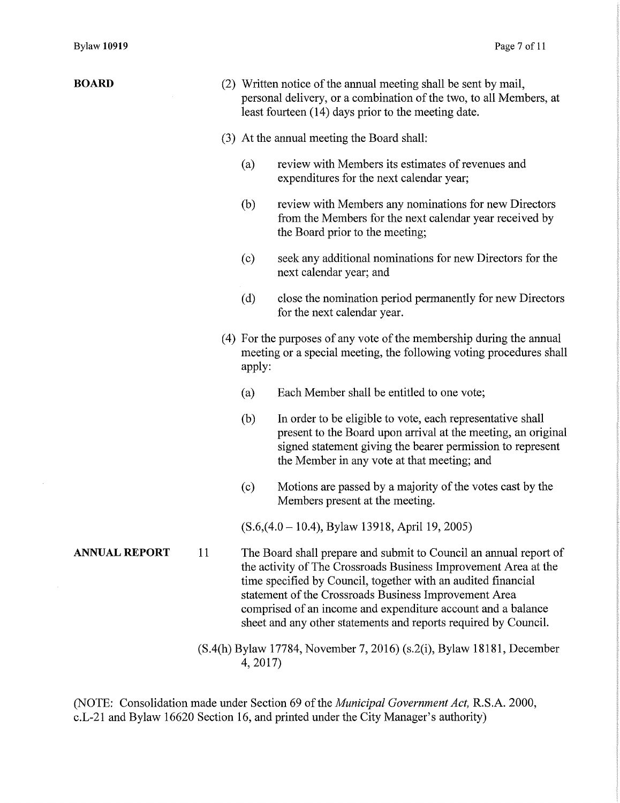$\sim$ 

| <b>BOARD</b>         |    | (2) Written notice of the annual meeting shall be sent by mail,<br>personal delivery, or a combination of the two, to all Members, at<br>least fourteen (14) days prior to the meeting date.                                                                                                                                                                                                      |
|----------------------|----|---------------------------------------------------------------------------------------------------------------------------------------------------------------------------------------------------------------------------------------------------------------------------------------------------------------------------------------------------------------------------------------------------|
|                      |    | (3) At the annual meeting the Board shall:                                                                                                                                                                                                                                                                                                                                                        |
|                      |    | review with Members its estimates of revenues and<br>(a)<br>expenditures for the next calendar year;                                                                                                                                                                                                                                                                                              |
|                      |    | review with Members any nominations for new Directors<br>(b)<br>from the Members for the next calendar year received by<br>the Board prior to the meeting;                                                                                                                                                                                                                                        |
|                      |    | seek any additional nominations for new Directors for the<br>(c)<br>next calendar year; and                                                                                                                                                                                                                                                                                                       |
|                      |    | (d)<br>close the nomination period permanently for new Directors<br>for the next calendar year.                                                                                                                                                                                                                                                                                                   |
|                      |    | (4) For the purposes of any vote of the membership during the annual<br>meeting or a special meeting, the following voting procedures shall<br>apply:                                                                                                                                                                                                                                             |
|                      |    | Each Member shall be entitled to one vote;<br>(a)                                                                                                                                                                                                                                                                                                                                                 |
|                      |    | (b)<br>In order to be eligible to vote, each representative shall<br>present to the Board upon arrival at the meeting, an original<br>signed statement giving the bearer permission to represent<br>the Member in any vote at that meeting; and                                                                                                                                                   |
|                      |    | Motions are passed by a majority of the votes cast by the<br>(c)<br>Members present at the meeting.                                                                                                                                                                                                                                                                                               |
|                      |    | $(S.6, (4.0 - 10.4), By law 13918, April 19, 2005)$                                                                                                                                                                                                                                                                                                                                               |
| <b>ANNUAL REPORT</b> | 11 | The Board shall prepare and submit to Council an annual report of<br>the activity of The Crossroads Business Improvement Area at the<br>time specified by Council, together with an audited financial<br>statement of the Crossroads Business Improvement Area<br>comprised of an income and expenditure account and a balance<br>sheet and any other statements and reports required by Council. |
|                      |    | (S.4(h) Bylaw 17784, November 7, 2016) (s.2(i), Bylaw 18181, December                                                                                                                                                                                                                                                                                                                             |

4, 2017)

(NOTE: Consolidation made under Section 69 of the *Municipal Government Act,* R.S.A. 2000, c.L-21 and Bylaw 16620 Section 16, and printed under the City Manager's authority)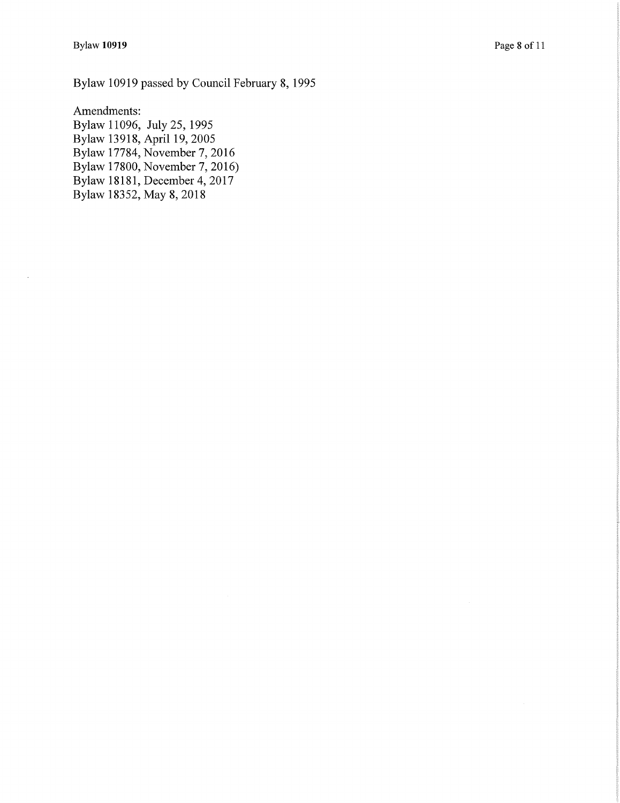Bylaw 10919 passed by Council February 8, 1995

Amendments: Bylaw 11096, July 25, 1995 Bylaw 13918, April 19, 2005 Bylaw 17784, November 7, 2016 Bylaw 17800, November 7, 2016) Bylaw 18181, December 4, 2017 Bylaw 18352, May 8, 2018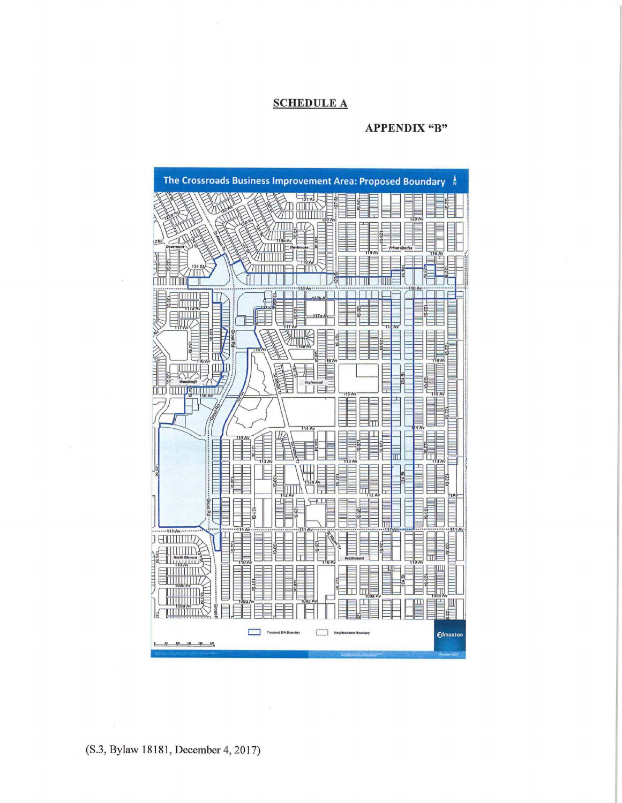## **SCHEDULE A**

### **APPENDIX "B"**

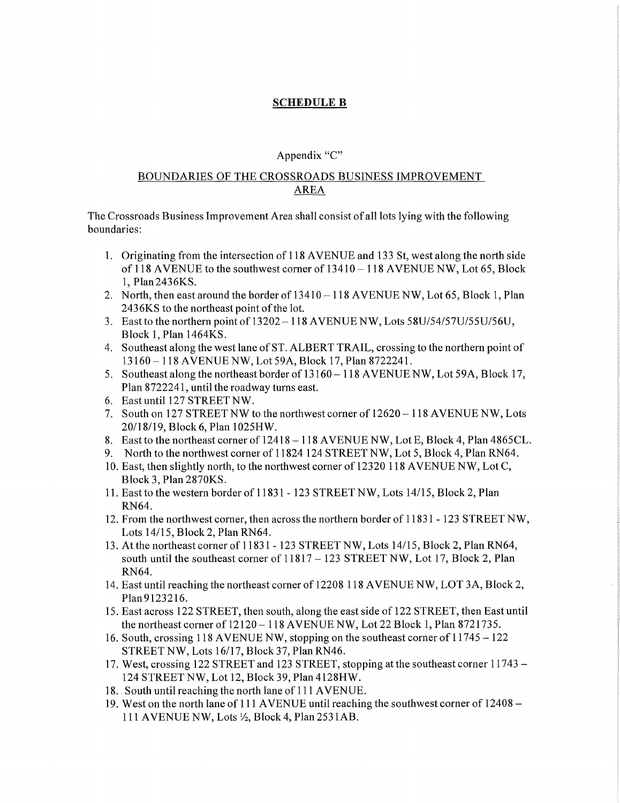# **SCHEDULE B**

### Appendix "C"

# BOUNDARIES OF THE CROSSROADS BUSINESS IMPROVEMENT AREA

The Crossroads Business Improvement Area shall consist of all lots lying with the following boundaries:

- 1. Originating from the intersection of 118 A VENUE and 133 St, west along the north side of 118 AVENUE to the southwest corner of  $13410 - 118$  AVENUE NW, Lot 65, Block 1, Plan2436KS.
- 2. North, then east around the border of  $13410-118$  AVENUE NW, Lot 65, Block 1, Plan 2436KS to the northeast point of the lot.
- 3. East to the northern pointof 13202-118 AVENUE NW, Lots 58U/54/57U/55U/56U, Block 1, Plan 1464KS.
- 4. Southeast along the west lane of ST. ALBERT TRAIL, crossing to the northern point of 13160-118 AVENUE NW, Lot 59A, Block 17, Plan 8722241.
- 5. Southeast along the northeast border of 13160-118 AVENUE NW, Lot 59A, Block 17, Plan 8722241, until the roadway turns east.
- 6. East until 127 STREET NW.
- 7. South on 127 STREET NW to the northwest corner of 12620-118 AVENUE NW, Lots 20/18/19, Block 6, Plan 1025HW.
- 8. East to the northeast corner of 12418-118 AVENUE NW, Lot E, Block 4, Plan 4865CL.
- 9. North to the northwest corner of 11824 124 STREET NW, Lot 5, Block 4, Plan RN64.
- 10. East, then slightly north, to the northwest corner of 12320 118 AVENUE NW, Lot C, Block 3, Plan 2870KS.
- 11. East to the western border of 11831 123 STREET NW, Lots 14/15, Block 2, Plan RN64.
- 12. From the northwest corner, then across the northern border of 11831 123 STREET NW, Lots 14/15, Block 2, Plan RN64.
- 13. At the northeast corner of 11831 123 STREET NW, Lots 14/15, Block 2, Plan RN64, south until the southeast corner of  $11817 - 123$  STREET NW, Lot 17, Block 2, Plan RN64.
- 14. East until reaching the northeast corner of 12208 118 AVENUE NW, LOT 3A, Block 2, Plan 9123216.
- 15. East across 122 STREET, then south, along the east side of 122 STREET, then East until the northeast corner of  $12120 - 118$  AVENUE NW, Lot 22 Block 1, Plan 8721735.
- 16. South, crossing 118 AVENUE NW, stopping on the southeast corner of 11745-122 STREET NW, Lots 16/17, Block 37, Plan RN46.
- 17. West, crossing 122 STREET and 123 STREET, stopping at the southeast corner 11743 124 STREET NW, Lot 12, Block 39, Plan 4128HW.
- 18. South until reaching the north lane of 111 AVENUE.
- 19. West on the north lane of 111 AVENUE until reaching the southwest corner of 12408 111 AVENUE NW, Lots½, Block 4, Plan 253 lAB.